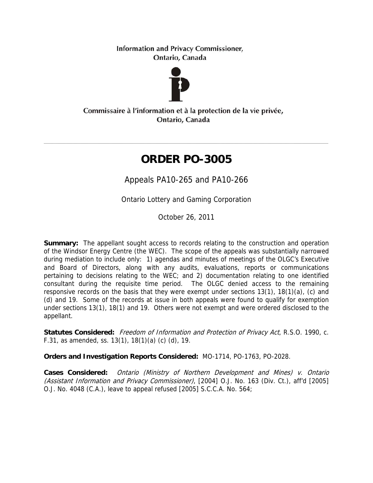**Information and Privacy Commissioner,** Ontario, Canada



Commissaire à l'information et à la protection de la vie privée, Ontario, Canada

# **ORDER PO-3005**

Appeals PA10-265 and PA10-266

Ontario Lottery and Gaming Corporation

October 26, 2011

**Summary:** The appellant sought access to records relating to the construction and operation of the Windsor Energy Centre (the WEC). The scope of the appeals was substantially narrowed during mediation to include only: 1) agendas and minutes of meetings of the OLGC's Executive and Board of Directors, along with any audits, evaluations, reports or communications pertaining to decisions relating to the WEC; and 2) documentation relating to one identified consultant during the requisite time period. The OLGC denied access to the remaining responsive records on the basis that they were exempt under sections 13(1), 18(1)(a), (c) and (d) and 19. Some of the records at issue in both appeals were found to qualify for exemption under sections 13(1), 18(1) and 19. Others were not exempt and were ordered disclosed to the appellant.

Statutes Considered: Freedom of Information and Protection of Privacy Act, R.S.O. 1990, c. F.31, as amended, ss. 13(1), 18(1)(a) (c) (d), 19.

**Orders and Investigation Reports Considered:** MO-1714, PO-1763, PO-2028.

**Cases Considered:** Ontario (Ministry of Northern Development and Mines) v. Ontario (Assistant Information and Privacy Commissioner), [2004] O.J. No. 163 (Div. Ct.), aff'd [2005] O.J. No. 4048 (C.A.), leave to appeal refused [2005] S.C.C.A. No. 564;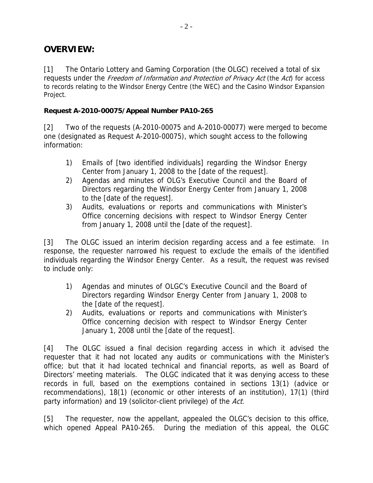## **OVERVIEW:**

[1] The Ontario Lottery and Gaming Corporation (the OLGC) received a total of six requests under the Freedom of Information and Protection of Privacy Act (the Act) for access to records relating to the Windsor Energy Centre (the WEC) and the Casino Windsor Expansion Project.

#### **Request A-2010-00075/Appeal Number PA10-265**

[2] Two of the requests (A-2010-00075 and A-2010-00077) were merged to become one (designated as Request A-2010-00075), which sought access to the following information:

- 1) Emails of [two identified individuals] regarding the Windsor Energy Center from January 1, 2008 to the [date of the request].
- 2) Agendas and minutes of OLG's Executive Council and the Board of Directors regarding the Windsor Energy Center from January 1, 2008 to the [date of the request].
- 3) Audits, evaluations or reports and communications with Minister's Office concerning decisions with respect to Windsor Energy Center from January 1, 2008 until the [date of the request].

[3] The OLGC issued an interim decision regarding access and a fee estimate. In response, the requester narrowed his request to exclude the emails of the identified individuals regarding the Windsor Energy Center. As a result, the request was revised to include only:

- 1) Agendas and minutes of OLGC's Executive Council and the Board of Directors regarding Windsor Energy Center from January 1, 2008 to the [date of the request].
- 2) Audits, evaluations or reports and communications with Minister's Office concerning decision with respect to Windsor Energy Center January 1, 2008 until the [date of the request].

[4] The OLGC issued a final decision regarding access in which it advised the requester that it had not located any audits or communications with the Minister's office; but that it had located technical and financial reports, as well as Board of Directors' meeting materials. The OLGC indicated that it was denying access to these records in full, based on the exemptions contained in sections 13(1) (advice or recommendations), 18(1) (economic or other interests of an institution), 17(1) (third party information) and 19 (solicitor-client privilege) of the Act.

[5] The requester, now the appellant, appealed the OLGC's decision to this office, which opened Appeal PA10-265. During the mediation of this appeal, the OLGC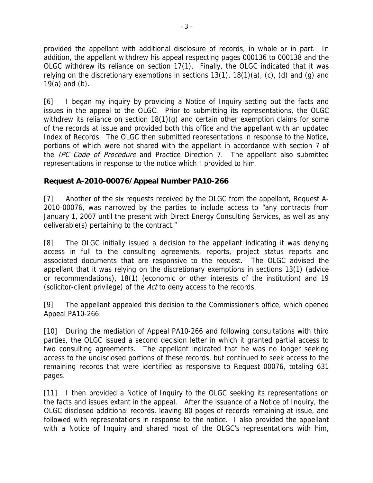provided the appellant with additional disclosure of records, in whole or in part. In addition, the appellant withdrew his appeal respecting pages 000136 to 000138 and the OLGC withdrew its reliance on section 17(1). Finally, the OLGC indicated that it was relying on the discretionary exemptions in sections  $13(1)$ ,  $18(1)(a)$ , (c), (d) and (g) and 19(a) and (b).

[6] I began my inquiry by providing a Notice of Inquiry setting out the facts and issues in the appeal to the OLGC. Prior to submitting its representations, the OLGC withdrew its reliance on section 18(1)(g) and certain other exemption claims for some of the records at issue and provided both this office and the appellant with an updated Index of Records. The OLGC then submitted representations in response to the Notice, portions of which were not shared with the appellant in accordance with section 7 of the *IPC Code of Procedure* and Practice Direction 7. The appellant also submitted representations in response to the notice which I provided to him.

### **Request A-2010-00076/Appeal Number PA10-266**

[7] Another of the six requests received by the OLGC from the appellant, Request A-2010-00076, was narrowed by the parties to include access to "any contracts from January 1, 2007 until the present with Direct Energy Consulting Services, as well as any deliverable(s) pertaining to the contract."

[8] The OLGC initially issued a decision to the appellant indicating it was denying access in full to the consulting agreements, reports, project status reports and associated documents that are responsive to the request. The OLGC advised the appellant that it was relying on the discretionary exemptions in sections 13(1) (advice or recommendations), 18(1) (economic or other interests of the institution) and 19 (solicitor-client privilege) of the Act to deny access to the records.

[9] The appellant appealed this decision to the Commissioner's office, which opened Appeal PA10-266.

[10] During the mediation of Appeal PA10-266 and following consultations with third parties, the OLGC issued a second decision letter in which it granted partial access to two consulting agreements. The appellant indicated that he was no longer seeking access to the undisclosed portions of these records, but continued to seek access to the remaining records that were identified as responsive to Request 00076, totaling 631 pages.

[11] I then provided a Notice of Inquiry to the OLGC seeking its representations on the facts and issues extant in the appeal. After the issuance of a Notice of Inquiry, the OLGC disclosed additional records, leaving 80 pages of records remaining at issue, and followed with representations in response to the notice. I also provided the appellant with a Notice of Inquiry and shared most of the OLGC's representations with him,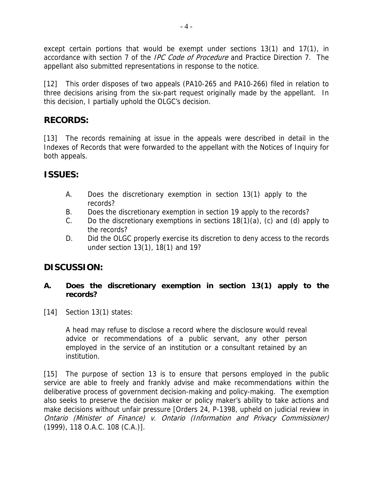except certain portions that would be exempt under sections 13(1) and 17(1), in accordance with section 7 of the *IPC Code of Procedure* and Practice Direction 7. The appellant also submitted representations in response to the notice.

[12] This order disposes of two appeals (PA10-265 and PA10-266) filed in relation to three decisions arising from the six-part request originally made by the appellant. In this decision, I partially uphold the OLGC's decision.

# **RECORDS:**

[13] The records remaining at issue in the appeals were described in detail in the Indexes of Records that were forwarded to the appellant with the Notices of Inquiry for both appeals.

# **ISSUES:**

- A. Does the discretionary exemption in section 13(1) apply to the records?
- B. Does the discretionary exemption in section 19 apply to the records?
- C. Do the discretionary exemptions in sections 18(1)(a), (c) and (d) apply to the records?
- D. Did the OLGC properly exercise its discretion to deny access to the records under section 13(1), 18(1) and 19?

# **DISCUSSION:**

### **A. Does the discretionary exemption in section 13(1) apply to the records?**

[14] Section 13(1) states:

A head may refuse to disclose a record where the disclosure would reveal advice or recommendations of a public servant, any other person employed in the service of an institution or a consultant retained by an institution.

[15] The purpose of section 13 is to ensure that persons employed in the public service are able to freely and frankly advise and make recommendations within the deliberative process of government decision-making and policy-making. The exemption also seeks to preserve the decision maker or policy maker's ability to take actions and make decisions without unfair pressure [Orders 24, P-1398, upheld on judicial review in Ontario (Minister of Finance) v. Ontario (Information and Privacy Commissioner) (1999), 118 O.A.C. 108 (C.A.)].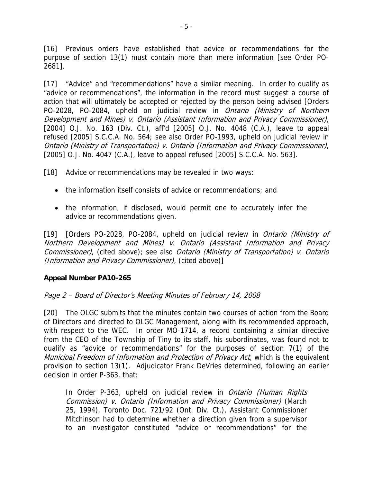[16] Previous orders have established that advice or recommendations for the purpose of section 13(1) must contain more than mere information [see Order PO-2681].

[17] "Advice" and "recommendations" have a similar meaning. In order to qualify as "advice or recommendations", the information in the record must suggest a course of action that will ultimately be accepted or rejected by the person being advised [Orders PO-2028, PO-2084, upheld on judicial review in Ontario (Ministry of Northern Development and Mines) v. Ontario (Assistant Information and Privacy Commissioner), [2004] O.J. No. 163 (Div. Ct.), aff'd [2005] O.J. No. 4048 (C.A.), leave to appeal refused [2005] S.C.C.A. No. 564; see also Order PO-1993, upheld on judicial review in Ontario (Ministry of Transportation) v. Ontario (Information and Privacy Commissioner), [2005] O.J. No. 4047 (C.A.), leave to appeal refused [2005] S.C.C.A. No. 563].

[18] Advice or recommendations may be revealed in two ways:

- the information itself consists of advice or recommendations; and
- the information, if disclosed, would permit one to accurately infer the advice or recommendations given.

[19] [Orders PO-2028, PO-2084, upheld on judicial review in *Ontario (Ministry of* Northern Development and Mines) v. Ontario (Assistant Information and Privacy Commissioner), (cited above); see also Ontario (Ministry of Transportation) v. Ontario (Information and Privacy Commissioner), (cited above)]

### **Appeal Number PA10-265**

### Page 2 – Board of Director's Meeting Minutes of February 14, 2008

[20] The OLGC submits that the minutes contain two courses of action from the Board of Directors and directed to OLGC Management, along with its recommended approach, with respect to the WEC. In order MO-1714, a record containing a similar directive from the CEO of the Township of Tiny to its staff, his subordinates, was found not to qualify as "advice or recommendations" for the purposes of section 7(1) of the Municipal Freedom of Information and Protection of Privacy Act, which is the equivalent provision to section 13(1). Adjudicator Frank DeVries determined, following an earlier decision in order P-363, that:

In Order P-363, upheld on judicial review in *Ontario (Human Rights* Commission) v. Ontario (Information and Privacy Commissioner) (March 25, 1994), Toronto Doc. 721/92 (Ont. Div. Ct.), Assistant Commissioner Mitchinson had to determine whether a direction given from a supervisor to an investigator constituted "advice or recommendations" for the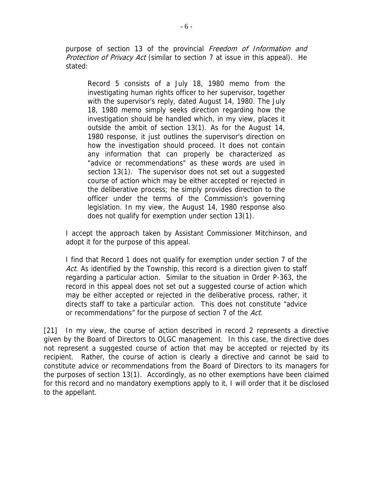purpose of section 13 of the provincial Freedom of Information and Protection of Privacy Act (similar to section 7 at issue in this appeal). He stated:

Record 5 consists of a July 18, 1980 memo from the investigating human rights officer to her supervisor, together with the supervisor's reply, dated August 14, 1980. The July 18, 1980 memo simply seeks direction regarding how the investigation should be handled which, in my view, places it outside the ambit of section 13(1). As for the August 14, 1980 response, it just outlines the supervisor's direction on how the investigation should proceed. It does not contain any information that can properly be characterized as "advice or recommendations" as these words are used in section 13(1). The supervisor does not set out a suggested course of action which may be either accepted or rejected in the deliberative process; he simply provides direction to the officer under the terms of the Commission's governing legislation. In my view, the August 14, 1980 response also does not qualify for exemption under section 13(1).

I accept the approach taken by Assistant Commissioner Mitchinson, and adopt it for the purpose of this appeal.

I find that Record 1 does not qualify for exemption under section 7 of the Act. As identified by the Township, this record is a direction given to staff regarding a particular action. Similar to the situation in Order P-363, the record in this appeal does not set out a suggested course of action which may be either accepted or rejected in the deliberative process, rather, it directs staff to take a particular action. This does not constitute "advice or recommendations" for the purpose of section 7 of the Act.

[21] In my view, the course of action described in record 2 represents a directive given by the Board of Directors to OLGC management. In this case, the directive does not represent a suggested course of action that may be accepted or rejected by its recipient. Rather, the course of action is clearly a directive and cannot be said to constitute advice or recommendations from the Board of Directors to its managers for the purposes of section 13(1). Accordingly, as no other exemptions have been claimed for this record and no mandatory exemptions apply to it, I will order that it be disclosed to the appellant.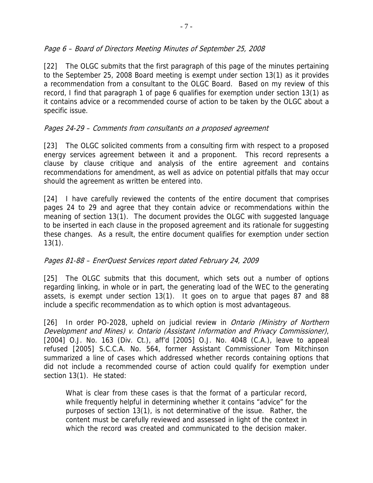### Page 6 – Board of Directors Meeting Minutes of September 25, 2008

[22] The OLGC submits that the first paragraph of this page of the minutes pertaining to the September 25, 2008 Board meeting is exempt under section 13(1) as it provides a recommendation from a consultant to the OLGC Board. Based on my review of this record, I find that paragraph 1 of page 6 qualifies for exemption under section 13(1) as it contains advice or a recommended course of action to be taken by the OLGC about a specific issue.

### Pages 24-29 – Comments from consultants on a proposed agreement

[23] The OLGC solicited comments from a consulting firm with respect to a proposed energy services agreement between it and a proponent. This record represents a clause by clause critique and analysis of the entire agreement and contains recommendations for amendment, as well as advice on potential pitfalls that may occur should the agreement as written be entered into.

[24] I have carefully reviewed the contents of the entire document that comprises pages 24 to 29 and agree that they contain advice or recommendations within the meaning of section 13(1). The document provides the OLGC with suggested language to be inserted in each clause in the proposed agreement and its rationale for suggesting these changes. As a result, the entire document qualifies for exemption under section 13(1).

### Pages 81-88 – EnerQuest Services report dated February 24, 2009

[25] The OLGC submits that this document, which sets out a number of options regarding linking, in whole or in part, the generating load of the WEC to the generating assets, is exempt under section 13(1). It goes on to argue that pages 87 and 88 include a specific recommendation as to which option is most advantageous.

[26] In order PO-2028, upheld on judicial review in *Ontario (Ministry of Northern* Development and Mines) v. Ontario (Assistant Information and Privacy Commissioner), [2004] O.J. No. 163 (Div. Ct.), aff'd [2005] O.J. No. 4048 (C.A.), leave to appeal refused [2005] S.C.C.A. No. 564, former Assistant Commissioner Tom Mitchinson summarized a line of cases which addressed whether records containing options that did not include a recommended course of action could qualify for exemption under section 13(1). He stated:

What is clear from these cases is that the format of a particular record, while frequently helpful in determining whether it contains "advice" for the purposes of section 13(1), is not determinative of the issue. Rather, the content must be carefully reviewed and assessed in light of the context in which the record was created and communicated to the decision maker.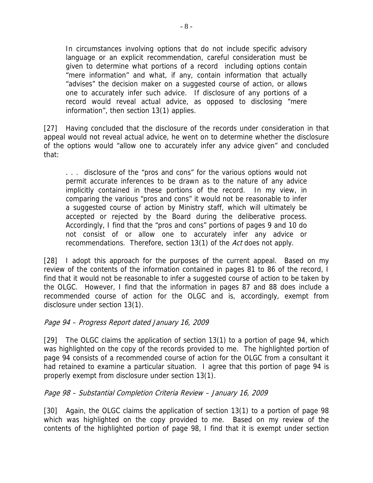In circumstances involving options that do not include specific advisory language or an explicit recommendation, careful consideration must be given to determine what portions of a record including options contain "mere information" and what, if any, contain information that actually "advises" the decision maker on a suggested course of action, or allows one to accurately infer such advice. If disclosure of any portions of a record would reveal actual advice, as opposed to disclosing "mere information", then section 13(1) applies.

[27] Having concluded that the disclosure of the records under consideration in that appeal would not reveal actual advice, he went on to determine whether the disclosure of the options would "allow one to accurately infer any advice given" and concluded that:

. . . disclosure of the "pros and cons" for the various options would not permit accurate inferences to be drawn as to the nature of any advice implicitly contained in these portions of the record. In my view, in comparing the various "pros and cons" it would not be reasonable to infer a suggested course of action by Ministry staff, which will ultimately be accepted or rejected by the Board during the deliberative process. Accordingly, I find that the "pros and cons" portions of pages 9 and 10 do not consist of or allow one to accurately infer any advice or recommendations. Therefore, section 13(1) of the Act does not apply.

[28] I adopt this approach for the purposes of the current appeal. Based on my review of the contents of the information contained in pages 81 to 86 of the record, I find that it would not be reasonable to infer a suggested course of action to be taken by the OLGC. However, I find that the information in pages 87 and 88 does include a recommended course of action for the OLGC and is, accordingly, exempt from disclosure under section 13(1).

#### Page 94 – Progress Report dated January 16, 2009

[29] The OLGC claims the application of section 13(1) to a portion of page 94, which was highlighted on the copy of the records provided to me. The highlighted portion of page 94 consists of a recommended course of action for the OLGC from a consultant it had retained to examine a particular situation. I agree that this portion of page 94 is properly exempt from disclosure under section 13(1).

### Page 98 – Substantial Completion Criteria Review – January 16, 2009

[30] Again, the OLGC claims the application of section 13(1) to a portion of page 98 which was highlighted on the copy provided to me. Based on my review of the contents of the highlighted portion of page 98, I find that it is exempt under section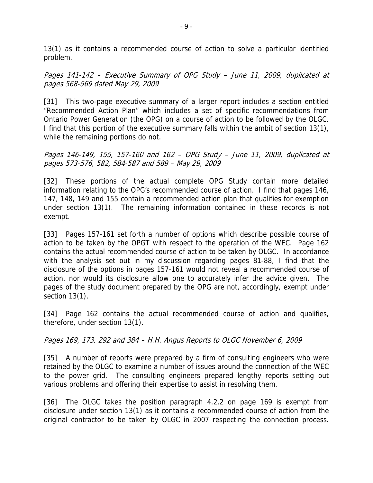13(1) as it contains a recommended course of action to solve a particular identified problem.

Pages 141-142 – Executive Summary of OPG Study – June 11, 2009, duplicated at pages 568-569 dated May 29, 2009

[31] This two-page executive summary of a larger report includes a section entitled "Recommended Action Plan" which includes a set of specific recommendations from Ontario Power Generation (the OPG) on a course of action to be followed by the OLGC. I find that this portion of the executive summary falls within the ambit of section 13(1), while the remaining portions do not.

Pages 146-149, 155, 157-160 and 162 – OPG Study – June 11, 2009, duplicated at pages 573-576, 582, 584-587 and 589 – May 29, 2009

[32] These portions of the actual complete OPG Study contain more detailed information relating to the OPG's recommended course of action. I find that pages 146, 147, 148, 149 and 155 contain a recommended action plan that qualifies for exemption under section 13(1). The remaining information contained in these records is not exempt.

[33] Pages 157-161 set forth a number of options which describe possible course of action to be taken by the OPGT with respect to the operation of the WEC. Page 162 contains the actual recommended course of action to be taken by OLGC. In accordance with the analysis set out in my discussion regarding pages 81-88, I find that the disclosure of the options in pages 157-161 would not reveal a recommended course of action, nor would its disclosure allow one to accurately infer the advice given. The pages of the study document prepared by the OPG are not, accordingly, exempt under section 13(1).

[34] Page 162 contains the actual recommended course of action and qualifies, therefore, under section 13(1).

Pages 169, 173, 292 and 384 – H.H. Angus Reports to OLGC November 6, 2009

[35] A number of reports were prepared by a firm of consulting engineers who were retained by the OLGC to examine a number of issues around the connection of the WEC to the power grid. The consulting engineers prepared lengthy reports setting out various problems and offering their expertise to assist in resolving them.

[36] The OLGC takes the position paragraph 4.2.2 on page 169 is exempt from disclosure under section 13(1) as it contains a recommended course of action from the original contractor to be taken by OLGC in 2007 respecting the connection process.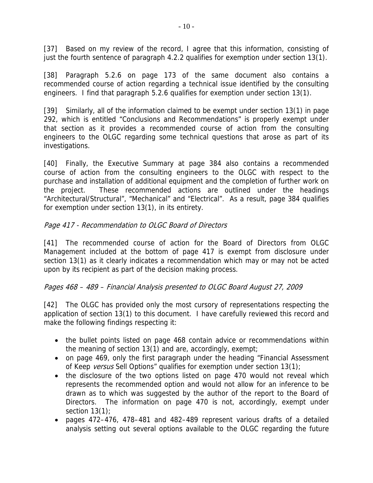[37] Based on my review of the record, I agree that this information, consisting of just the fourth sentence of paragraph 4.2.2 qualifies for exemption under section 13(1).

[38] Paragraph 5.2.6 on page 173 of the same document also contains a recommended course of action regarding a technical issue identified by the consulting engineers. I find that paragraph 5.2.6 qualifies for exemption under section 13(1).

[39] Similarly, all of the information claimed to be exempt under section 13(1) in page 292, which is entitled "Conclusions and Recommendations" is properly exempt under that section as it provides a recommended course of action from the consulting engineers to the OLGC regarding some technical questions that arose as part of its investigations.

[40] Finally, the Executive Summary at page 384 also contains a recommended course of action from the consulting engineers to the OLGC with respect to the purchase and installation of additional equipment and the completion of further work on the project. These recommended actions are outlined under the headings "Architectural/Structural", "Mechanical" and "Electrical". As a result, page 384 qualifies for exemption under section 13(1), in its entirety.

### Page 417 - Recommendation to OLGC Board of Directors

[41] The recommended course of action for the Board of Directors from OLGC Management included at the bottom of page 417 is exempt from disclosure under section 13(1) as it clearly indicates a recommendation which may or may not be acted upon by its recipient as part of the decision making process.

### Pages 468 – 489 – Financial Analysis presented to OLGC Board August 27, 2009

[42] The OLGC has provided only the most cursory of representations respecting the application of section 13(1) to this document. I have carefully reviewed this record and make the following findings respecting it:

- the bullet points listed on page 468 contain advice or recommendations within the meaning of section 13(1) and are, accordingly, exempt;
- on page 469, only the first paragraph under the heading "Financial Assessment of Keep versus Sell Options" qualifies for exemption under section 13(1);
- the disclosure of the two options listed on page 470 would not reveal which represents the recommended option and would not allow for an inference to be drawn as to which was suggested by the author of the report to the Board of Directors. The information on page 470 is not, accordingly, exempt under section  $13(1)$ ;
- pages 472–476, 478–481 and 482–489 represent various drafts of a detailed analysis setting out several options available to the OLGC regarding the future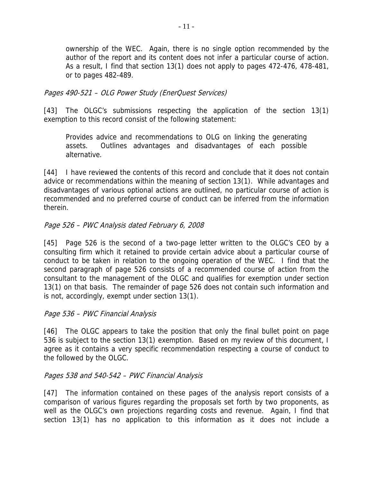ownership of the WEC. Again, there is no single option recommended by the author of the report and its content does not infer a particular course of action. As a result, I find that section 13(1) does not apply to pages 472-476, 478-481, or to pages 482-489.

### Pages 490-521 – OLG Power Study (EnerQuest Services)

[43] The OLGC's submissions respecting the application of the section 13(1) exemption to this record consist of the following statement:

Provides advice and recommendations to OLG on linking the generating assets. Outlines advantages and disadvantages of each possible alternative.

[44] I have reviewed the contents of this record and conclude that it does not contain advice or recommendations within the meaning of section 13(1). While advantages and disadvantages of various optional actions are outlined, no particular course of action is recommended and no preferred course of conduct can be inferred from the information therein.

### Page 526 – PWC Analysis dated February 6, 2008

[45] Page 526 is the second of a two-page letter written to the OLGC's CEO by a consulting firm which it retained to provide certain advice about a particular course of conduct to be taken in relation to the ongoing operation of the WEC. I find that the second paragraph of page 526 consists of a recommended course of action from the consultant to the management of the OLGC and qualifies for exemption under section 13(1) on that basis. The remainder of page 526 does not contain such information and is not, accordingly, exempt under section 13(1).

#### Page 536 – PWC Financial Analysis

[46] The OLGC appears to take the position that only the final bullet point on page 536 is subject to the section 13(1) exemption. Based on my review of this document, I agree as it contains a very specific recommendation respecting a course of conduct to the followed by the OLGC.

#### Pages 538 and 540-542 – PWC Financial Analysis

[47] The information contained on these pages of the analysis report consists of a comparison of various figures regarding the proposals set forth by two proponents, as well as the OLGC's own projections regarding costs and revenue. Again, I find that section 13(1) has no application to this information as it does not include a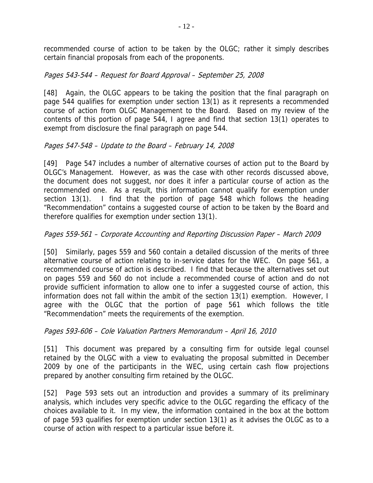recommended course of action to be taken by the OLGC; rather it simply describes certain financial proposals from each of the proponents.

### Pages 543-544 – Request for Board Approval – September 25, 2008

[48] Again, the OLGC appears to be taking the position that the final paragraph on page 544 qualifies for exemption under section 13(1) as it represents a recommended course of action from OLGC Management to the Board. Based on my review of the contents of this portion of page 544, I agree and find that section 13(1) operates to exempt from disclosure the final paragraph on page 544.

### Pages 547-548 – Update to the Board – February 14, 2008

[49] Page 547 includes a number of alternative courses of action put to the Board by OLGC's Management. However, as was the case with other records discussed above, the document does not suggest, nor does it infer a particular course of action as the recommended one. As a result, this information cannot qualify for exemption under section 13(1). I find that the portion of page 548 which follows the heading "Recommendation" contains a suggested course of action to be taken by the Board and therefore qualifies for exemption under section 13(1).

### Pages 559-561 – Corporate Accounting and Reporting Discussion Paper – March 2009

[50] Similarly, pages 559 and 560 contain a detailed discussion of the merits of three alternative course of action relating to in-service dates for the WEC. On page 561, a recommended course of action is described. I find that because the alternatives set out on pages 559 and 560 do not include a recommended course of action and do not provide sufficient information to allow one to infer a suggested course of action, this information does not fall within the ambit of the section 13(1) exemption. However, I agree with the OLGC that the portion of page 561 which follows the title "Recommendation" meets the requirements of the exemption.

### Pages 593-606 – Cole Valuation Partners Memorandum – April 16, 2010

[51] This document was prepared by a consulting firm for outside legal counsel retained by the OLGC with a view to evaluating the proposal submitted in December 2009 by one of the participants in the WEC, using certain cash flow projections prepared by another consulting firm retained by the OLGC.

[52] Page 593 sets out an introduction and provides a summary of its preliminary analysis, which includes very specific advice to the OLGC regarding the efficacy of the choices available to it. In my view, the information contained in the box at the bottom of page 593 qualifies for exemption under section 13(1) as it advises the OLGC as to a course of action with respect to a particular issue before it.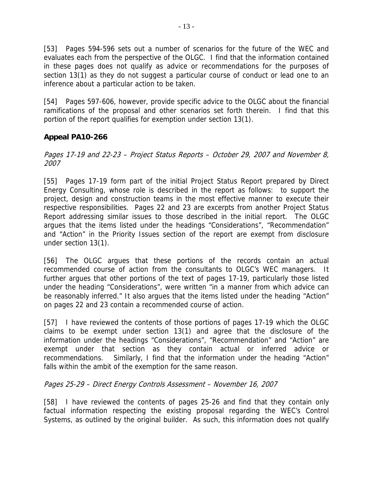[53] Pages 594-596 sets out a number of scenarios for the future of the WEC and evaluates each from the perspective of the OLGC. I find that the information contained in these pages does not qualify as advice or recommendations for the purposes of section 13(1) as they do not suggest a particular course of conduct or lead one to an inference about a particular action to be taken.

[54] Pages 597-606, however, provide specific advice to the OLGC about the financial ramifications of the proposal and other scenarios set forth therein. I find that this portion of the report qualifies for exemption under section 13(1).

### **Appeal PA10-266**

Pages 17-19 and 22-23 – Project Status Reports – October 29, 2007 and November 8, 2007

[55] Pages 17-19 form part of the initial Project Status Report prepared by Direct Energy Consulting, whose role is described in the report as follows: to support the project, design and construction teams in the most effective manner to execute their respective responsibilities. Pages 22 and 23 are excerpts from another Project Status Report addressing similar issues to those described in the initial report. The OLGC argues that the items listed under the headings "Considerations", "Recommendation" and "Action" in the Priority Issues section of the report are exempt from disclosure under section 13(1).

[56] The OLGC argues that these portions of the records contain an actual recommended course of action from the consultants to OLGC's WEC managers. It further argues that other portions of the text of pages 17-19, particularly those listed under the heading "Considerations", were written "in a manner from which advice can be reasonably inferred." It also argues that the items listed under the heading "Action" on pages 22 and 23 contain a recommended course of action.

[57] I have reviewed the contents of those portions of pages 17-19 which the OLGC claims to be exempt under section 13(1) and agree that the disclosure of the information under the headings "Considerations", "Recommendation" and "Action" are exempt under that section as they contain actual or inferred advice or recommendations. Similarly, I find that the information under the heading "Action" falls within the ambit of the exemption for the same reason.

### Pages 25-29 – Direct Energy Controls Assessment – November 16, 2007

[58] I have reviewed the contents of pages 25-26 and find that they contain only factual information respecting the existing proposal regarding the WEC's Control Systems, as outlined by the original builder. As such, this information does not qualify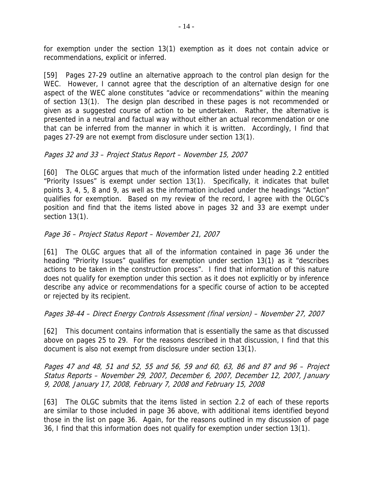for exemption under the section 13(1) exemption as it does not contain advice or recommendations, explicit or inferred.

[59] Pages 27-29 outline an alternative approach to the control plan design for the WEC. However, I cannot agree that the description of an alternative design for one aspect of the WEC alone constitutes "advice or recommendations" within the meaning of section 13(1). The design plan described in these pages is not recommended or given as a suggested course of action to be undertaken. Rather, the alternative is presented in a neutral and factual way without either an actual recommendation or one that can be inferred from the manner in which it is written. Accordingly, I find that pages 27-29 are not exempt from disclosure under section 13(1).

### Pages 32 and 33 – Project Status Report – November 15, 2007

[60] The OLGC argues that much of the information listed under heading 2.2 entitled "Priority Issues" is exempt under section 13(1). Specifically, it indicates that bullet points 3, 4, 5, 8 and 9, as well as the information included under the headings "Action" qualifies for exemption. Based on my review of the record, I agree with the OLGC's position and find that the items listed above in pages 32 and 33 are exempt under section 13(1).

### Page 36 – Project Status Report – November 21, 2007

[61] The OLGC argues that all of the information contained in page 36 under the heading "Priority Issues" qualifies for exemption under section 13(1) as it "describes actions to be taken in the construction process". I find that information of this nature does not qualify for exemption under this section as it does not explicitly or by inference describe any advice or recommendations for a specific course of action to be accepted or rejected by its recipient.

#### Pages 38-44 – Direct Energy Controls Assessment (final version) – November 27, 2007

[62] This document contains information that is essentially the same as that discussed above on pages 25 to 29. For the reasons described in that discussion, I find that this document is also not exempt from disclosure under section 13(1).

Pages 47 and 48, 51 and 52, 55 and 56, 59 and 60, 63, 86 and 87 and 96 – Project Status Reports – November 29, 2007, December 6, 2007, December 12, 2007, January 9, 2008, January 17, 2008, February 7, 2008 and February 15, 2008

[63] The OLGC submits that the items listed in section 2.2 of each of these reports are similar to those included in page 36 above, with additional items identified beyond those in the list on page 36. Again, for the reasons outlined in my discussion of page 36, I find that this information does not qualify for exemption under section 13(1).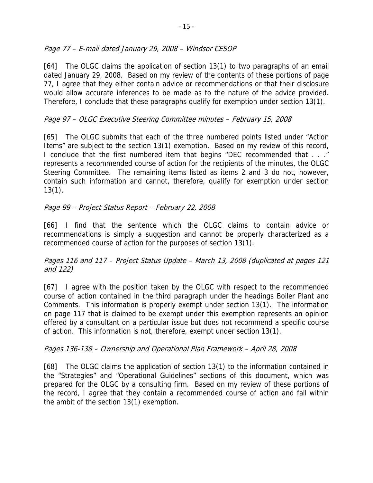### Page 77 – E-mail dated January 29, 2008 – Windsor CESOP

[64] The OLGC claims the application of section 13(1) to two paragraphs of an email dated January 29, 2008. Based on my review of the contents of these portions of page 77, I agree that they either contain advice or recommendations or that their disclosure would allow accurate inferences to be made as to the nature of the advice provided. Therefore, I conclude that these paragraphs qualify for exemption under section 13(1).

### Page 97 – OLGC Executive Steering Committee minutes – February 15, 2008

[65] The OLGC submits that each of the three numbered points listed under "Action Items" are subject to the section 13(1) exemption. Based on my review of this record, I conclude that the first numbered item that begins "DEC recommended that . . ." represents a recommended course of action for the recipients of the minutes, the OLGC Steering Committee. The remaining items listed as items 2 and 3 do not, however, contain such information and cannot, therefore, qualify for exemption under section 13(1).

### Page 99 – Project Status Report – February 22, 2008

[66] I find that the sentence which the OLGC claims to contain advice or recommendations is simply a suggestion and cannot be properly characterized as a recommended course of action for the purposes of section 13(1).

### Pages 116 and 117 – Project Status Update – March 13, 2008 (duplicated at pages 121 and 122)

[67] I agree with the position taken by the OLGC with respect to the recommended course of action contained in the third paragraph under the headings Boiler Plant and Comments. This information is properly exempt under section 13(1). The information on page 117 that is claimed to be exempt under this exemption represents an opinion offered by a consultant on a particular issue but does not recommend a specific course of action. This information is not, therefore, exempt under section 13(1).

### Pages 136-138 – Ownership and Operational Plan Framework – April 28, 2008

[68] The OLGC claims the application of section 13(1) to the information contained in the "Strategies" and "Operational Guidelines" sections of this document, which was prepared for the OLGC by a consulting firm. Based on my review of these portions of the record, I agree that they contain a recommended course of action and fall within the ambit of the section 13(1) exemption.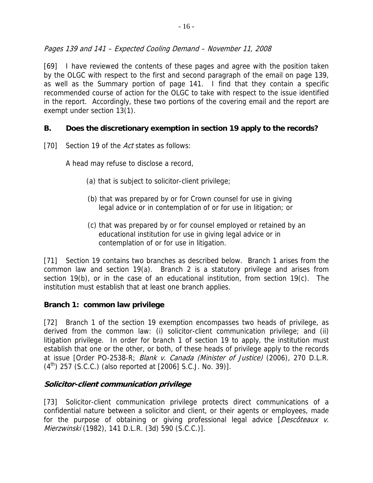Pages 139 and 141 – Expected Cooling Demand – November 11, 2008

[69] I have reviewed the contents of these pages and agree with the position taken by the OLGC with respect to the first and second paragraph of the email on page 139, as well as the Summary portion of page 141. I find that they contain a specific recommended course of action for the OLGC to take with respect to the issue identified in the report. Accordingly, these two portions of the covering email and the report are exempt under section 13(1).

### **B. Does the discretionary exemption in section 19 apply to the records?**

[70] Section 19 of the *Act* states as follows:

A head may refuse to disclose a record,

- (a) that is subject to solicitor-client privilege;
- (b) that was prepared by or for Crown counsel for use in giving legal advice or in contemplation of or for use in litigation; or
- (c) that was prepared by or for counsel employed or retained by an educational institution for use in giving legal advice or in contemplation of or for use in litigation.

[71] Section 19 contains two branches as described below. Branch 1 arises from the common law and section 19(a). Branch 2 is a statutory privilege and arises from section 19(b), or in the case of an educational institution, from section 19(c). The institution must establish that at least one branch applies.

### **Branch 1: common law privilege**

[72] Branch 1 of the section 19 exemption encompasses two heads of privilege, as derived from the common law: (i) solicitor-client communication privilege; and (ii) litigation privilege. In order for branch 1 of section 19 to apply, the institution must establish that one or the other, or both, of these heads of privilege apply to the records at issue [Order PO-2538-R; Blank v. Canada (Minister of Justice) (2006), 270 D.L.R.  $(4<sup>th</sup>)$  257 (S.C.C.) (also reported at [2006] S.C.J. No. 39)].

### **Solicitor-client communication privilege**

[73] Solicitor-client communication privilege protects direct communications of a confidential nature between a solicitor and client, or their agents or employees, made for the purpose of obtaining or giving professional legal advice [Descôteaux v. Mierzwinski (1982), 141 D.L.R. (3d) 590 (S.C.C.)].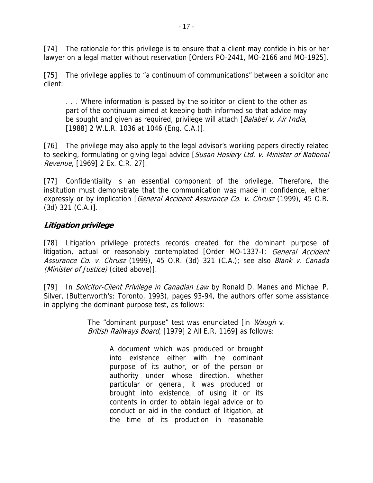[74] The rationale for this privilege is to ensure that a client may confide in his or her lawyer on a legal matter without reservation [Orders PO-2441, MO-2166 and MO-1925].

[75] The privilege applies to "a continuum of communications" between a solicitor and client:

. . . Where information is passed by the solicitor or client to the other as part of the continuum aimed at keeping both informed so that advice may be sought and given as required, privilege will attach [Balabel v. Air India, [1988] 2 W.L.R. 1036 at 1046 (Eng. C.A.)].

[76] The privilege may also apply to the legal advisor's working papers directly related to seeking, formulating or giving legal advice [Susan Hosiery Ltd. v. Minister of National Revenue, [1969] 2 Ex. C.R. 27].

[77] Confidentiality is an essential component of the privilege. Therefore, the institution must demonstrate that the communication was made in confidence, either expressly or by implication [*General Accident Assurance Co. v. Chrusz* (1999), 45 O.R. (3d) 321 (C.A.)].

### **Litigation privilege**

[78] Litigation privilege protects records created for the dominant purpose of litigation, actual or reasonably contemplated [Order MO-1337-1; General Accident Assurance Co. v. Chrusz (1999), 45 O.R. (3d) 321 (C.A.); see also Blank v. Canada (Minister of Justice) (cited above)].

[79] In Solicitor-Client Privilege in Canadian Law by Ronald D. Manes and Michael P. Silver, (Butterworth's: Toronto, 1993), pages 93-94, the authors offer some assistance in applying the dominant purpose test, as follows:

> The "dominant purpose" test was enunciated [in *Waugh v.* British Railways Board, [1979] 2 All E.R. 1169] as follows:

> > A document which was produced or brought into existence either with the dominant purpose of its author, or of the person or authority under whose direction, whether particular or general, it was produced or brought into existence, of using it or its contents in order to obtain legal advice or to conduct or aid in the conduct of litigation, at the time of its production in reasonable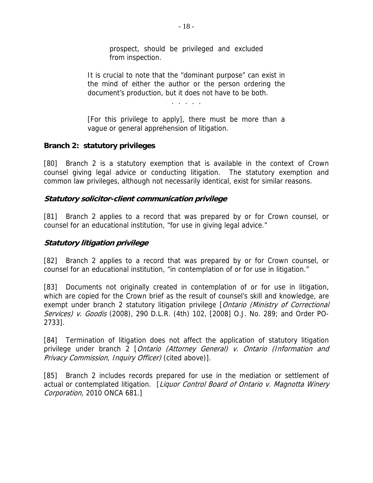prospect, should be privileged and excluded from inspection.

It is crucial to note that the "dominant purpose" can exist in the mind of either the author or the person ordering the document's production, but it does not have to be both.

. . . . .

[For this privilege to apply], there must be more than a vague or general apprehension of litigation.

### **Branch 2: statutory privileges**

[80] Branch 2 is a statutory exemption that is available in the context of Crown counsel giving legal advice or conducting litigation. The statutory exemption and common law privileges, although not necessarily identical, exist for similar reasons.

### **Statutory solicitor-client communication privilege**

[81] Branch 2 applies to a record that was prepared by or for Crown counsel, or counsel for an educational institution, "for use in giving legal advice."

### **Statutory litigation privilege**

[82] Branch 2 applies to a record that was prepared by or for Crown counsel, or counsel for an educational institution, "in contemplation of or for use in litigation."

[83] Documents not originally created in contemplation of or for use in litigation, which are copied for the Crown brief as the result of counsel's skill and knowledge, are exempt under branch 2 statutory litigation privilege [*Ontario (Ministry of Correctional* Services) v. Goodis (2008), 290 D.L.R. (4th) 102, [2008] O.J. No. 289; and Order PO-2733].

[84] Termination of litigation does not affect the application of statutory litigation privilege under branch 2 [Ontario (Attorney General) v. Ontario (Information and Privacy Commission, Inquiry Officer) (cited above)].

[85] Branch 2 includes records prepared for use in the mediation or settlement of actual or contemplated litigation. [Liquor Control Board of Ontario v. Magnotta Winery Corporation, 2010 ONCA 681.]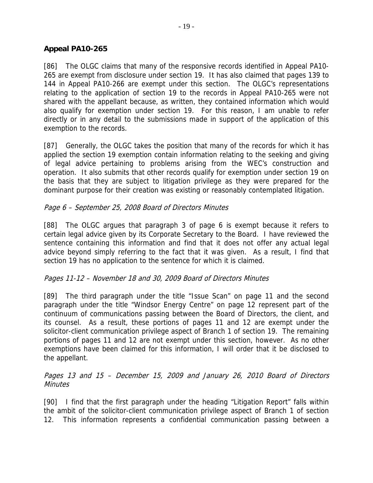### **Appeal PA10-265**

[86] The OLGC claims that many of the responsive records identified in Appeal PA10- 265 are exempt from disclosure under section 19. It has also claimed that pages 139 to 144 in Appeal PA10-266 are exempt under this section. The OLGC's representations relating to the application of section 19 to the records in Appeal PA10-265 were not shared with the appellant because, as written, they contained information which would also qualify for exemption under section 19. For this reason, I am unable to refer directly or in any detail to the submissions made in support of the application of this exemption to the records.

[87] Generally, the OLGC takes the position that many of the records for which it has applied the section 19 exemption contain information relating to the seeking and giving of legal advice pertaining to problems arising from the WEC's construction and operation. It also submits that other records qualify for exemption under section 19 on the basis that they are subject to litigation privilege as they were prepared for the dominant purpose for their creation was existing or reasonably contemplated litigation.

### Page 6 – September 25, 2008 Board of Directors Minutes

[88] The OLGC argues that paragraph 3 of page 6 is exempt because it refers to certain legal advice given by its Corporate Secretary to the Board. I have reviewed the sentence containing this information and find that it does not offer any actual legal advice beyond simply referring to the fact that it was given. As a result, I find that section 19 has no application to the sentence for which it is claimed.

#### Pages 11-12 – November 18 and 30, 2009 Board of Directors Minutes

[89] The third paragraph under the title "Issue Scan" on page 11 and the second paragraph under the title "Windsor Energy Centre" on page 12 represent part of the continuum of communications passing between the Board of Directors, the client, and its counsel. As a result, these portions of pages 11 and 12 are exempt under the solicitor-client communication privilege aspect of Branch 1 of section 19. The remaining portions of pages 11 and 12 are not exempt under this section, however. As no other exemptions have been claimed for this information, I will order that it be disclosed to the appellant.

### Pages 13 and 15 – December 15, 2009 and January 26, 2010 Board of Directors **Minutes**

[90] I find that the first paragraph under the heading "Litigation Report" falls within the ambit of the solicitor-client communication privilege aspect of Branch 1 of section 12. This information represents a confidential communication passing between a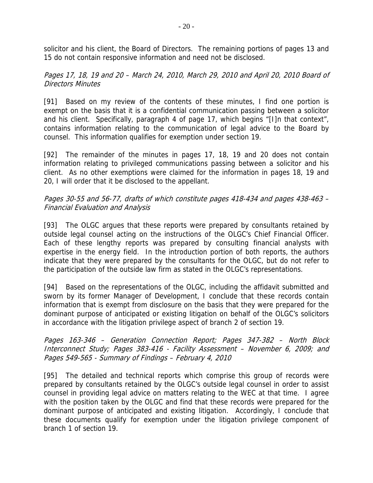solicitor and his client, the Board of Directors. The remaining portions of pages 13 and 15 do not contain responsive information and need not be disclosed.

### Pages 17, 18, 19 and 20 – March 24, 2010, March 29, 2010 and April 20, 2010 Board of Directors Minutes

[91] Based on my review of the contents of these minutes, I find one portion is exempt on the basis that it is a confidential communication passing between a solicitor and his client. Specifically, paragraph 4 of page 17, which begins "[I]n that context", contains information relating to the communication of legal advice to the Board by counsel. This information qualifies for exemption under section 19.

[92] The remainder of the minutes in pages 17, 18, 19 and 20 does not contain information relating to privileged communications passing between a solicitor and his client. As no other exemptions were claimed for the information in pages 18, 19 and 20, I will order that it be disclosed to the appellant.

### Pages 30-55 and 56-77, drafts of which constitute pages 418-434 and pages 438-463 – Financial Evaluation and Analysis

[93] The OLGC argues that these reports were prepared by consultants retained by outside legal counsel acting on the instructions of the OLGC's Chief Financial Officer. Each of these lengthy reports was prepared by consulting financial analysts with expertise in the energy field. In the introduction portion of both reports, the authors indicate that they were prepared by the consultants for the OLGC, but do not refer to the participation of the outside law firm as stated in the OLGC's representations.

[94] Based on the representations of the OLGC, including the affidavit submitted and sworn by its former Manager of Development, I conclude that these records contain information that is exempt from disclosure on the basis that they were prepared for the dominant purpose of anticipated or existing litigation on behalf of the OLGC's solicitors in accordance with the litigation privilege aspect of branch 2 of section 19.

#### Pages 163-346 – Generation Connection Report; Pages 347-382 – North Block Interconnect Study; Pages 383-416 - Facility Assessment – November 6, 2009; and Pages 549-565 - Summary of Findings – February 4, 2010

[95] The detailed and technical reports which comprise this group of records were prepared by consultants retained by the OLGC's outside legal counsel in order to assist counsel in providing legal advice on matters relating to the WEC at that time. I agree with the position taken by the OLGC and find that these records were prepared for the dominant purpose of anticipated and existing litigation. Accordingly, I conclude that these documents qualify for exemption under the litigation privilege component of branch 1 of section 19.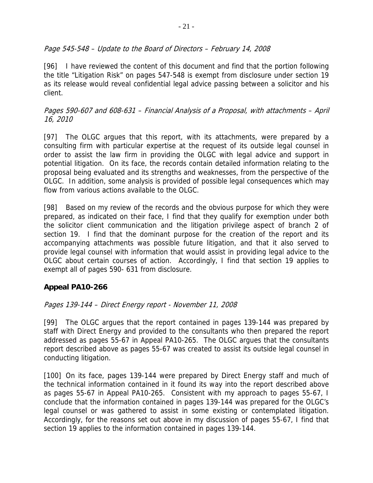### Page 545-548 – Update to the Board of Directors – February 14, 2008

[96] I have reviewed the content of this document and find that the portion following the title "Litigation Risk" on pages 547-548 is exempt from disclosure under section 19 as its release would reveal confidential legal advice passing between a solicitor and his client.

### Pages 590-607 and 608-631 – Financial Analysis of a Proposal, with attachments – April 16, 2010

[97] The OLGC argues that this report, with its attachments, were prepared by a consulting firm with particular expertise at the request of its outside legal counsel in order to assist the law firm in providing the OLGC with legal advice and support in potential litigation. On its face, the records contain detailed information relating to the proposal being evaluated and its strengths and weaknesses, from the perspective of the OLGC. In addition, some analysis is provided of possible legal consequences which may flow from various actions available to the OLGC.

[98] Based on my review of the records and the obvious purpose for which they were prepared, as indicated on their face, I find that they qualify for exemption under both the solicitor client communication and the litigation privilege aspect of branch 2 of section 19. I find that the dominant purpose for the creation of the report and its accompanying attachments was possible future litigation, and that it also served to provide legal counsel with information that would assist in providing legal advice to the OLGC about certain courses of action. Accordingly, I find that section 19 applies to exempt all of pages 590- 631 from disclosure.

### **Appeal PA10-266**

### Pages 139-144 – Direct Energy report - November 11, 2008

[99] The OLGC argues that the report contained in pages 139-144 was prepared by staff with Direct Energy and provided to the consultants who then prepared the report addressed as pages 55-67 in Appeal PA10-265. The OLGC argues that the consultants report described above as pages 55-67 was created to assist its outside legal counsel in conducting litigation.

[100] On its face, pages 139-144 were prepared by Direct Energy staff and much of the technical information contained in it found its way into the report described above as pages 55-67 in Appeal PA10-265. Consistent with my approach to pages 55-67, I conclude that the information contained in pages 139-144 was prepared for the OLGC's legal counsel or was gathered to assist in some existing or contemplated litigation. Accordingly, for the reasons set out above in my discussion of pages 55-67, I find that section 19 applies to the information contained in pages 139-144.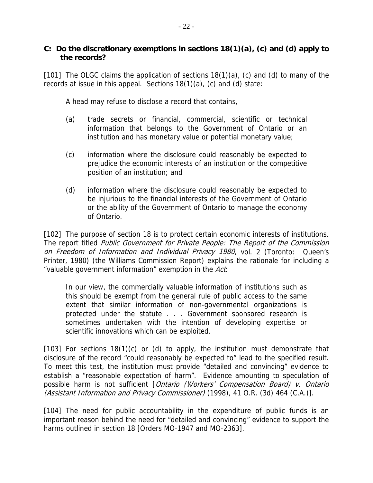### **C: Do the discretionary exemptions in sections 18(1)(a), (c) and (d) apply to the records?**

[101] The OLGC claims the application of sections  $18(1)(a)$ , (c) and (d) to many of the records at issue in this appeal. Sections 18(1)(a), (c) and (d) state:

A head may refuse to disclose a record that contains,

- (a) trade secrets or financial, commercial, scientific or technical information that belongs to the Government of Ontario or an institution and has monetary value or potential monetary value;
- (c) information where the disclosure could reasonably be expected to prejudice the economic interests of an institution or the competitive position of an institution; and
- (d) information where the disclosure could reasonably be expected to be injurious to the financial interests of the Government of Ontario or the ability of the Government of Ontario to manage the economy of Ontario.

[102] The purpose of section 18 is to protect certain economic interests of institutions. The report titled Public Government for Private People: The Report of the Commission on Freedom of Information and Individual Privacy 1980, vol. 2 (Toronto: Queen's Printer, 1980) (the Williams Commission Report) explains the rationale for including a "valuable government information" exemption in the Act:

In our view, the commercially valuable information of institutions such as this should be exempt from the general rule of public access to the same extent that similar information of non-governmental organizations is protected under the statute . . . Government sponsored research is sometimes undertaken with the intention of developing expertise or scientific innovations which can be exploited.

[103] For sections 18(1)(c) or (d) to apply, the institution must demonstrate that disclosure of the record "could reasonably be expected to" lead to the specified result. To meet this test, the institution must provide "detailed and convincing" evidence to establish a "reasonable expectation of harm". Evidence amounting to speculation of possible harm is not sufficient [Ontario (Workers' Compensation Board) v. Ontario (Assistant Information and Privacy Commissioner) (1998), 41 O.R. (3d) 464 (C.A.)].

[104] The need for public accountability in the expenditure of public funds is an important reason behind the need for "detailed and convincing" evidence to support the harms outlined in section 18 [Orders MO-1947 and MO-2363].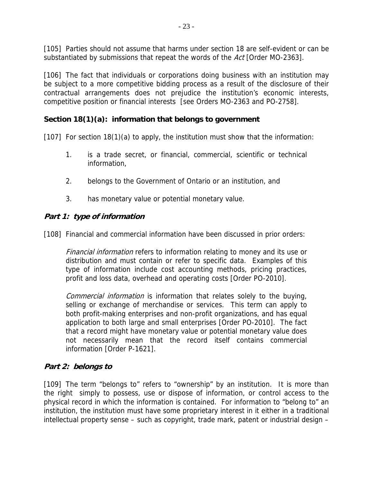[105] Parties should not assume that harms under section 18 are self-evident or can be substantiated by submissions that repeat the words of the Act [Order MO-2363].

[106] The fact that individuals or corporations doing business with an institution may be subject to a more competitive bidding process as a result of the disclosure of their contractual arrangements does not prejudice the institution's economic interests, competitive position or financial interests [see Orders MO-2363 and PO-2758].

### **Section 18(1)(a): information that belongs to government**

[107] For section 18(1)(a) to apply, the institution must show that the information:

- 1. is a trade secret, or financial, commercial, scientific or technical information,
- 2. belongs to the Government of Ontario or an institution, and
- 3. has monetary value or potential monetary value.

### **Part 1: type of information**

[108] Financial and commercial information have been discussed in prior orders:

Financial information refers to information relating to money and its use or distribution and must contain or refer to specific data. Examples of this type of information include cost accounting methods, pricing practices, profit and loss data, overhead and operating costs [Order PO-2010].

Commercial information is information that relates solely to the buying, selling or exchange of merchandise or services. This term can apply to both profit-making enterprises and non-profit organizations, and has equal application to both large and small enterprises [Order PO-2010]. The fact that a record might have monetary value or potential monetary value does not necessarily mean that the record itself contains commercial information [Order P-1621].

### **Part 2: belongs to**

[109] The term "belongs to" refers to "ownership" by an institution. It is more than the right simply to possess, use or dispose of information, or control access to the physical record in which the information is contained. For information to "belong to" an institution, the institution must have some proprietary interest in it either in a traditional intellectual property sense – such as copyright, trade mark, patent or industrial design –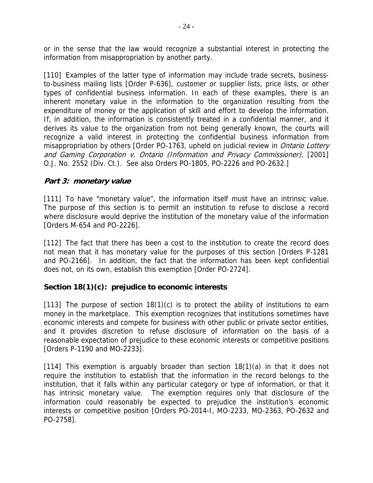or in the sense that the law would recognize a substantial interest in protecting the information from misappropriation by another party.

[110] Examples of the latter type of information may include trade secrets, businessto-business mailing lists [Order P-636], customer or supplier lists, price lists, or other types of confidential business information. In each of these examples, there is an inherent monetary value in the information to the organization resulting from the expenditure of money or the application of skill and effort to develop the information. If, in addition, the information is consistently treated in a confidential manner, and it derives its value to the organization from not being generally known, the courts will recognize a valid interest in protecting the confidential business information from misappropriation by others [Order PO-1763, upheld on judicial review in *Ontario Lottery* and Gaming Corporation v. Ontario (Information and Privacy Commissioner), [2001] O.J. No. 2552 (Div. Ct.). See also Orders PO-1805, PO-2226 and PO-2632.]

### **Part 3: monetary value**

[111] To have "monetary value", the information itself must have an intrinsic value. The purpose of this section is to permit an institution to refuse to disclose a record where disclosure would deprive the institution of the monetary value of the information [Orders M-654 and PO-2226].

[112] The fact that there has been a cost to the institution to create the record does not mean that it has monetary value for the purposes of this section [Orders P-1281 and PO-2166]. In addition, the fact that the information has been kept confidential does not, on its own, establish this exemption [Order PO-2724].

### **Section 18(1)(c): prejudice to economic interests**

[113] The purpose of section  $18(1)(c)$  is to protect the ability of institutions to earn money in the marketplace. This exemption recognizes that institutions sometimes have economic interests and compete for business with other public or private sector entities, and it provides discretion to refuse disclosure of information on the basis of a reasonable expectation of prejudice to these economic interests or competitive positions [Orders P-1190 and MO-2233].

[114] This exemption is arguably broader than section 18(1)(a) in that it does not require the institution to establish that the information in the record belongs to the institution, that it falls within any particular category or type of information, or that it has intrinsic monetary value. The exemption requires only that disclosure of the information could reasonably be expected to prejudice the institution's economic interests or competitive position [Orders PO-2014-I, MO-2233, MO-2363, PO-2632 and PO-2758].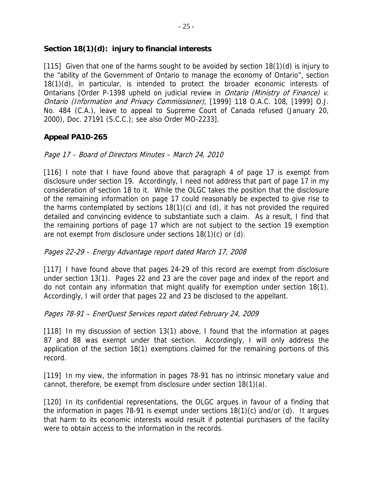### **Section 18(1)(d): injury to financial interests**

[115] Given that one of the harms sought to be avoided by section 18(1)(d) is injury to the "ability of the Government of Ontario to manage the economy of Ontario", section 18(1)(d), in particular, is intended to protect the broader economic interests of Ontarians [Order P-1398 upheld on judicial review in *Ontario (Ministry of Finance) v.* Ontario (Information and Privacy Commissioner), [1999] 118 O.A.C. 108, [1999] O.J. No. 484 (C.A.), leave to appeal to Supreme Court of Canada refused (January 20, 2000), Doc. 27191 (S.C.C.); see also Order MO-2233].

### **Appeal PA10-265**

### Page 17 – Board of Directors Minutes – March 24, 2010

[116] I note that I have found above that paragraph 4 of page 17 is exempt from disclosure under section 19. Accordingly, I need not address that part of page 17 in my consideration of section 18 to it. While the OLGC takes the position that the disclosure of the remaining information on page 17 could reasonably be expected to give rise to the harms contemplated by sections 18(1)(c) and (d), it has not provided the required detailed and convincing evidence to substantiate such a claim. As a result, I find that the remaining portions of page 17 which are not subject to the section 19 exemption are not exempt from disclosure under sections 18(1)(c) or (d).

### Pages 22-29 – Energy Advantage report dated March 17, 2008

[117] I have found above that pages 24-29 of this record are exempt from disclosure under section 13(1). Pages 22 and 23 are the cover page and index of the report and do not contain any information that might qualify for exemption under section 18(1). Accordingly, I will order that pages 22 and 23 be disclosed to the appellant.

### Pages 78-91 – EnerQuest Services report dated February 24, 2009

[118] In my discussion of section 13(1) above, I found that the information at pages 87 and 88 was exempt under that section. Accordingly, I will only address the application of the section 18(1) exemptions claimed for the remaining portions of this record.

[119] In my view, the information in pages 78-91 has no intrinsic monetary value and cannot, therefore, be exempt from disclosure under section 18(1)(a).

[120] In its confidential representations, the OLGC argues in favour of a finding that the information in pages 78-91 is exempt under sections 18(1)(c) and/or (d). It argues that harm to its economic interests would result if potential purchasers of the facility were to obtain access to the information in the records.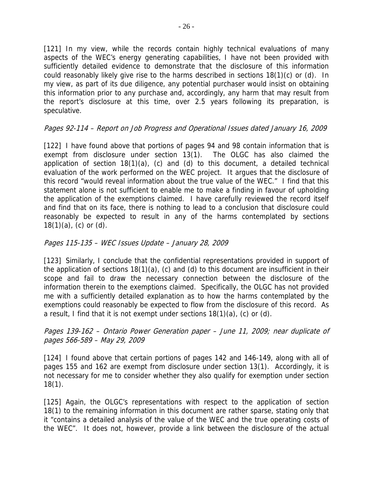[121] In my view, while the records contain highly technical evaluations of many aspects of the WEC's energy generating capabilities, I have not been provided with sufficiently detailed evidence to demonstrate that the disclosure of this information could reasonably likely give rise to the harms described in sections 18(1)(c) or (d). In my view, as part of its due diligence, any potential purchaser would insist on obtaining this information prior to any purchase and, accordingly, any harm that may result from the report's disclosure at this time, over 2.5 years following its preparation, is speculative.

### Pages 92-114 – Report on Job Progress and Operational Issues dated January 16, 2009

[122] I have found above that portions of pages 94 and 98 contain information that is exempt from disclosure under section 13(1). The OLGC has also claimed the application of section  $18(1)(a)$ , (c) and (d) to this document, a detailed technical evaluation of the work performed on the WEC project. It argues that the disclosure of this record "would reveal information about the true value of the WEC." I find that this statement alone is not sufficient to enable me to make a finding in favour of upholding the application of the exemptions claimed. I have carefully reviewed the record itself and find that on its face, there is nothing to lead to a conclusion that disclosure could reasonably be expected to result in any of the harms contemplated by sections  $18(1)(a)$ , (c) or (d).

#### Pages 115-135 – WEC Issues Update – January 28, 2009

[123] Similarly, I conclude that the confidential representations provided in support of the application of sections 18(1)(a), (c) and (d) to this document are insufficient in their scope and fail to draw the necessary connection between the disclosure of the information therein to the exemptions claimed. Specifically, the OLGC has not provided me with a sufficiently detailed explanation as to how the harms contemplated by the exemptions could reasonably be expected to flow from the disclosure of this record. As a result, I find that it is not exempt under sections 18(1)(a), (c) or (d).

#### Pages 139-162 – Ontario Power Generation paper – June 11, 2009; near duplicate of pages 566-589 – May 29, 2009

[124] I found above that certain portions of pages 142 and 146-149, along with all of pages 155 and 162 are exempt from disclosure under section 13(1). Accordingly, it is not necessary for me to consider whether they also qualify for exemption under section 18(1).

[125] Again, the OLGC's representations with respect to the application of section 18(1) to the remaining information in this document are rather sparse, stating only that it "contains a detailed analysis of the value of the WEC and the true operating costs of the WEC". It does not, however, provide a link between the disclosure of the actual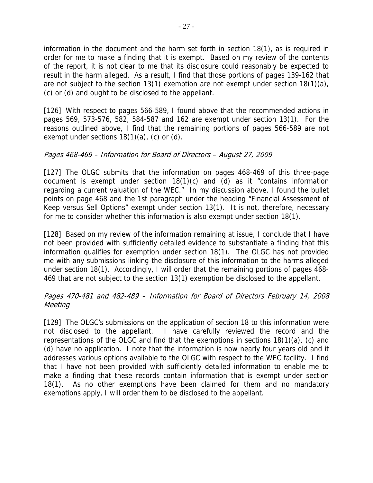information in the document and the harm set forth in section 18(1), as is required in order for me to make a finding that it is exempt. Based on my review of the contents of the report, it is not clear to me that its disclosure could reasonably be expected to result in the harm alleged. As a result, I find that those portions of pages 139-162 that are not subject to the section 13(1) exemption are not exempt under section 18(1)(a), (c) or (d) and ought to be disclosed to the appellant.

[126] With respect to pages 566-589, I found above that the recommended actions in pages 569, 573-576, 582, 584-587 and 162 are exempt under section 13(1). For the reasons outlined above, I find that the remaining portions of pages 566-589 are not exempt under sections  $18(1)(a)$ , (c) or (d).

### Pages 468-469 – Information for Board of Directors – August 27, 2009

[127] The OLGC submits that the information on pages 468-469 of this three-page document is exempt under section 18(1)(c) and (d) as it "contains information regarding a current valuation of the WEC." In my discussion above, I found the bullet points on page 468 and the 1st paragraph under the heading "Financial Assessment of Keep versus Sell Options" exempt under section 13(1). It is not, therefore, necessary for me to consider whether this information is also exempt under section 18(1).

[128] Based on my review of the information remaining at issue, I conclude that I have not been provided with sufficiently detailed evidence to substantiate a finding that this information qualifies for exemption under section 18(1). The OLGC has not provided me with any submissions linking the disclosure of this information to the harms alleged under section 18(1). Accordingly, I will order that the remaining portions of pages 468- 469 that are not subject to the section 13(1) exemption be disclosed to the appellant.

### Pages 470-481 and 482-489 – Information for Board of Directors February 14, 2008 **Meeting**

[129] The OLGC's submissions on the application of section 18 to this information were not disclosed to the appellant. I have carefully reviewed the record and the representations of the OLGC and find that the exemptions in sections 18(1)(a), (c) and (d) have no application. I note that the information is now nearly four years old and it addresses various options available to the OLGC with respect to the WEC facility. I find that I have not been provided with sufficiently detailed information to enable me to make a finding that these records contain information that is exempt under section 18(1). As no other exemptions have been claimed for them and no mandatory exemptions apply, I will order them to be disclosed to the appellant.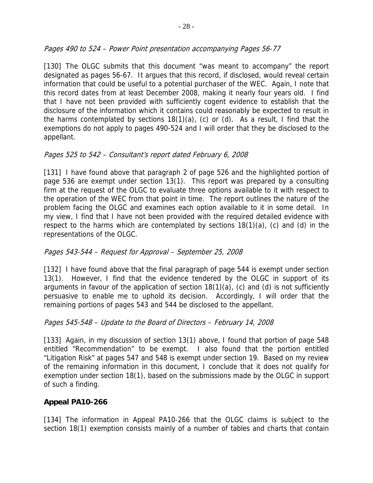### Pages 490 to 524 – Power Point presentation accompanying Pages 56-77

[130] The OLGC submits that this document "was meant to accompany" the report designated as pages 56-67. It argues that this record, if disclosed, would reveal certain information that could be useful to a potential purchaser of the WEC. Again, I note that this record dates from at least December 2008, making it nearly four years old. I find that I have not been provided with sufficiently cogent evidence to establish that the disclosure of the information which it contains could reasonably be expected to result in the harms contemplated by sections 18(1)(a), (c) or (d). As a result, I find that the exemptions do not apply to pages 490-524 and I will order that they be disclosed to the appellant.

### Pages 525 to 542 – Consultant's report dated February 6, 2008

[131] I have found above that paragraph 2 of page 526 and the highlighted portion of page 536 are exempt under section 13(1). This report was prepared by a consulting firm at the request of the OLGC to evaluate three options available to it with respect to the operation of the WEC from that point in time. The report outlines the nature of the problem facing the OLGC and examines each option available to it in some detail. In my view, I find that I have not been provided with the required detailed evidence with respect to the harms which are contemplated by sections 18(1)(a), (c) and (d) in the representations of the OLGC.

### Pages 543-544 – Request for Approval – September 25, 2008

[132] I have found above that the final paragraph of page 544 is exempt under section 13(1). However, I find that the evidence tendered by the OLGC in support of its arguments in favour of the application of section 18(1)(a), (c) and (d) is not sufficiently persuasive to enable me to uphold its decision. Accordingly, I will order that the remaining portions of pages 543 and 544 be disclosed to the appellant.

#### Pages 545-548 – Update to the Board of Directors – February 14, 2008

[133] Again, in my discussion of section 13(1) above, I found that portion of page 548 entitled "Recommendation" to be exempt. I also found that the portion entitled "Litigation Risk" at pages 547 and 548 is exempt under section 19. Based on my review of the remaining information in this document, I conclude that it does not qualify for exemption under section 18(1), based on the submissions made by the OLGC in support of such a finding.

### **Appeal PA10-266**

[134] The information in Appeal PA10-266 that the OLGC claims is subject to the section 18(1) exemption consists mainly of a number of tables and charts that contain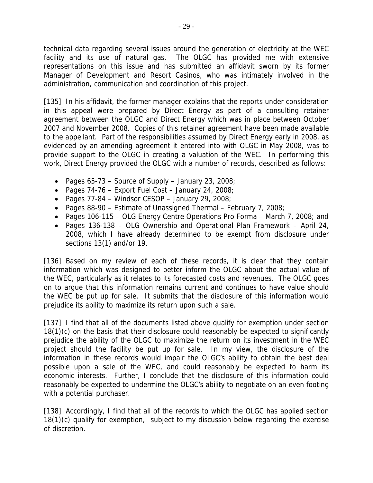technical data regarding several issues around the generation of electricity at the WEC facility and its use of natural gas. The OLGC has provided me with extensive representations on this issue and has submitted an affidavit sworn by its former Manager of Development and Resort Casinos, who was intimately involved in the administration, communication and coordination of this project.

[135] In his affidavit, the former manager explains that the reports under consideration in this appeal were prepared by Direct Energy as part of a consulting retainer agreement between the OLGC and Direct Energy which was in place between October 2007 and November 2008. Copies of this retainer agreement have been made available to the appellant. Part of the responsibilities assumed by Direct Energy early in 2008, as evidenced by an amending agreement it entered into with OLGC in May 2008, was to provide support to the OLGC in creating a valuation of the WEC. In performing this work, Direct Energy provided the OLGC with a number of records, described as follows:

- Pages  $65-73$  Source of Supply January 23, 2008;
- Pages  $74-76$  Export Fuel Cost January 24, 2008;
- Pages  $77-84$  Windsor CESOP January 29, 2008;
- Pages 88-90 Estimate of Unassigned Thermal February 7, 2008;
- Pages 106-115 OLG Energy Centre Operations Pro Forma March 7, 2008; and
- Pages 136-138 OLG Ownership and Operational Plan Framework April 24, 2008, which I have already determined to be exempt from disclosure under sections 13(1) and/or 19.

[136] Based on my review of each of these records, it is clear that they contain information which was designed to better inform the OLGC about the actual value of the WEC, particularly as it relates to its forecasted costs and revenues. The OLGC goes on to argue that this information remains current and continues to have value should the WEC be put up for sale. It submits that the disclosure of this information would prejudice its ability to maximize its return upon such a sale.

[137] I find that all of the documents listed above qualify for exemption under section 18(1)(c) on the basis that their disclosure could reasonably be expected to significantly prejudice the ability of the OLGC to maximize the return on its investment in the WEC project should the facility be put up for sale. In my view, the disclosure of the information in these records would impair the OLGC's ability to obtain the best deal possible upon a sale of the WEC, and could reasonably be expected to harm its economic interests. Further, I conclude that the disclosure of this information could reasonably be expected to undermine the OLGC's ability to negotiate on an even footing with a potential purchaser.

[138] Accordingly, I find that all of the records to which the OLGC has applied section 18(1)(c) qualify for exemption, subject to my discussion below regarding the exercise of discretion.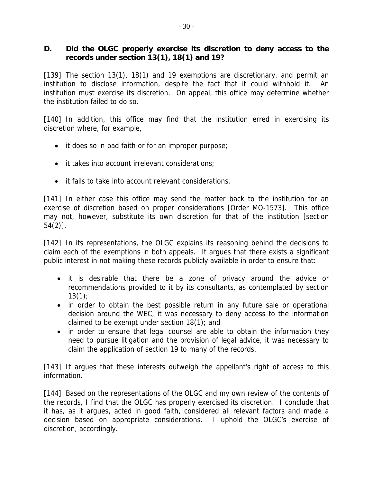### **D. Did the OLGC properly exercise its discretion to deny access to the records under section 13(1), 18(1) and 19?**

[139] The section 13(1), 18(1) and 19 exemptions are discretionary, and permit an institution to disclose information, despite the fact that it could withhold it. An institution must exercise its discretion. On appeal, this office may determine whether the institution failed to do so.

[140] In addition, this office may find that the institution erred in exercising its discretion where, for example,

- it does so in bad faith or for an improper purpose;
- $\bullet$  it takes into account irrelevant considerations;
- it fails to take into account relevant considerations.

[141] In either case this office may send the matter back to the institution for an exercise of discretion based on proper considerations [Order MO-1573]. This office may not, however, substitute its own discretion for that of the institution [section 54(2)].

[142] In its representations, the OLGC explains its reasoning behind the decisions to claim each of the exemptions in both appeals. It argues that there exists a significant public interest in not making these records publicly available in order to ensure that:

- it is desirable that there be a zone of privacy around the advice or recommendations provided to it by its consultants, as contemplated by section  $13(1)$ ;
- in order to obtain the best possible return in any future sale or operational decision around the WEC, it was necessary to deny access to the information claimed to be exempt under section 18(1); and
- in order to ensure that legal counsel are able to obtain the information they need to pursue litigation and the provision of legal advice, it was necessary to claim the application of section 19 to many of the records.

[143] It argues that these interests outweigh the appellant's right of access to this information.

[144] Based on the representations of the OLGC and my own review of the contents of the records, I find that the OLGC has properly exercised its discretion. I conclude that it has, as it argues, acted in good faith, considered all relevant factors and made a decision based on appropriate considerations. I uphold the OLGC's exercise of discretion, accordingly.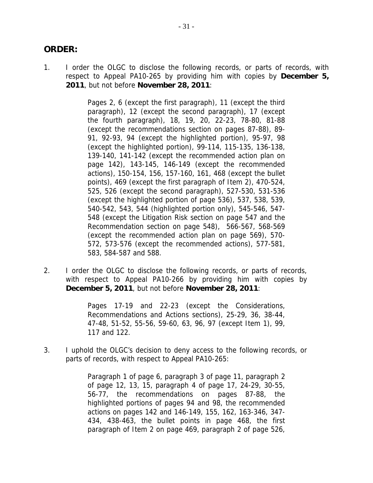### **ORDER:**

1. I order the OLGC to disclose the following records, or parts of records, with respect to Appeal PA10-265 by providing him with copies by **December 5, 2011**, but not before **November 28, 2011**:

> Pages 2, 6 (except the first paragraph), 11 (except the third paragraph), 12 (except the second paragraph), 17 (except the fourth paragraph), 18, 19, 20, 22-23, 78-80, 81-88 (except the recommendations section on pages 87-88), 89- 91, 92-93, 94 (except the highlighted portion), 95-97, 98 (except the highlighted portion), 99-114, 115-135, 136-138, 139-140, 141-142 (except the recommended action plan on page 142), 143-145, 146-149 (except the recommended actions), 150-154, 156, 157-160, 161, 468 (except the bullet points), 469 (except the first paragraph of Item 2), 470-524, 525, 526 (except the second paragraph), 527-530, 531-536 (except the highlighted portion of page 536), 537, 538, 539, 540-542, 543, 544 (highlighted portion only), 545-546, 547- 548 (except the Litigation Risk section on page 547 and the Recommendation section on page 548), 566-567, 568-569 (except the recommended action plan on page 569), 570- 572, 573-576 (except the recommended actions), 577-581, 583, 584-587 and 588.

2. I order the OLGC to disclose the following records, or parts of records, with respect to Appeal PA10-266 by providing him with copies by **December 5, 2011**, but not before **November 28, 2011**:

> Pages 17-19 and 22-23 (except the Considerations, Recommendations and Actions sections), 25-29, 36, 38-44, 47-48, 51-52, 55-56, 59-60, 63, 96, 97 (except Item 1), 99, 117 and 122.

3. I uphold the OLGC's decision to deny access to the following records, or parts of records, with respect to Appeal PA10-265:

> Paragraph 1 of page 6, paragraph 3 of page 11, paragraph 2 of page 12, 13, 15, paragraph 4 of page 17, 24-29, 30-55, 56-77, the recommendations on pages 87-88, the highlighted portions of pages 94 and 98, the recommended actions on pages 142 and 146-149, 155, 162, 163-346, 347- 434, 438-463, the bullet points in page 468, the first paragraph of Item 2 on page 469, paragraph 2 of page 526,